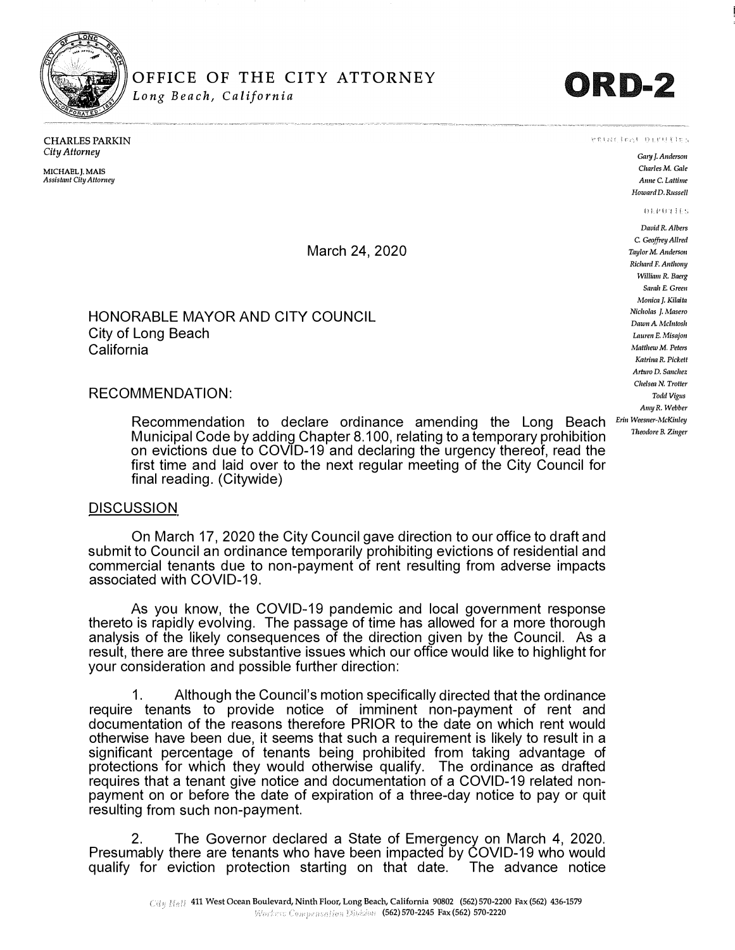

# OFFICE OF THE CITY ATTORNEY **CRD-2**

 $v$  (that Jeal Diruties

*Gary J. Anderson Charles* **M.** *Gale Anne C. Lattime Howard D.* **Russell** 

**DEPRETTES** 

CHARLES PARKIN *City Attorney* 

**MICHAELJ.MAIS**  *Assistant City Attomey* 

March 24, 2020

### HONORABLE MAYOR AND CITY COUNCIL City of Long Beach California

#### RECOMMENDATION:

Recommendation to declare ordinance amending the Long Beach Municipal Code by adding Chapter 8.100, relating to a temporary prohibition on evictions due to COVID-19 and declaring the urgency thereof, read the first time and laid over to the next regular meeting of the City Council for final reading. (Citywide)

#### **DISCUSSION**

On March 17, 2020 the City Council gave direction to our office to draft and submit to Council an ordinance temporarily prohibiting evictions of residential and commercial tenants due to non-payment of rent resulting from adverse impacts associated with COVID-19.

As you know, the COVID-19 pandemic and local government response thereto is rapidly evolving. The passage of time has allowed for a more thorough analysis of the likely consequences of the direction given by the Council. As a result, there are three substantive issues which our office would like to highlight for your consideration and possible further direction:

1. Although the Council's motion specifically directed that the ordinance require tenants to provide notice of imminent non-payment of rent and documentation of the reasons therefore PRIOR to the date on which rent would otherwise have been due, it seems that such a requirement is likely to result in a significant percentage of tenants being prohibited from taking advantage of protections for which they would otherwise qualify. The ordinance as drafted requires that a tenant give notice and documentation of a COVID-19 related nonpayment on or before the date of expiration of a three-day notice to pay or quit resulting from such non-payment.

2. The Governor declared a State of Emergency on March 4, 2020. Presumably there are tenants who have been impacted by COVID-19 who would qualify for eviction protection starting on that date. The advance notice *Theodore B. Zinger*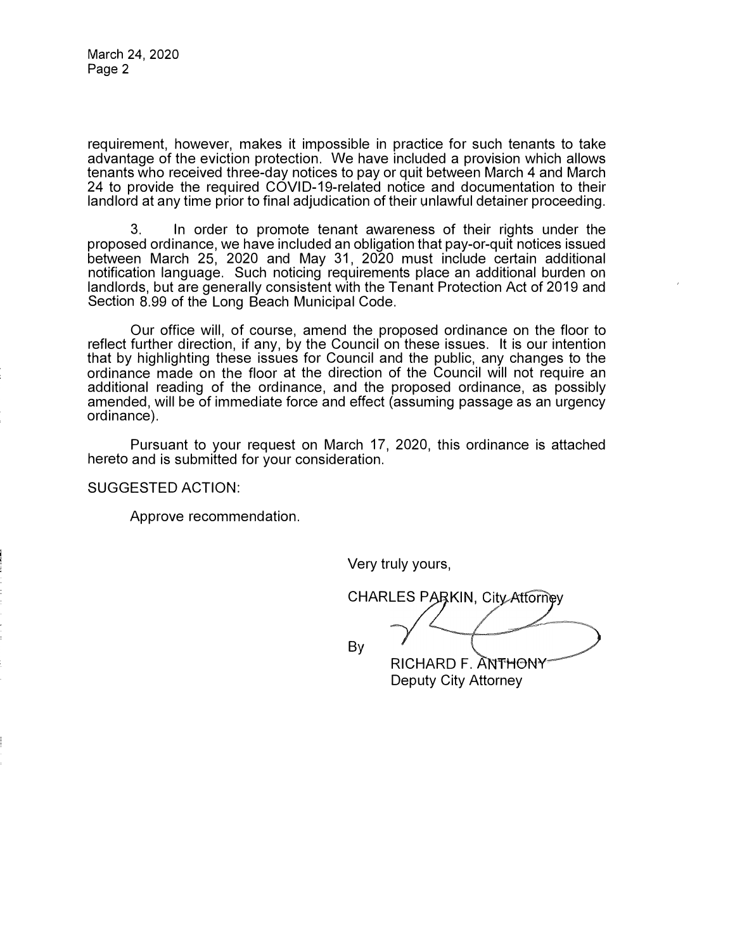requirement, however, makes it impossible in practice for such tenants to take advantage of the eviction protection. We have included a provision which allows tenants who received three-day notices to pay or quit between March 4 and March 24 to provide the required COVID-19-related notice and documentation to their landlord at any time prior to final adjudication of their unlawful detainer proceeding.

3. In order to promote tenant awareness of their rights under the proposed ordinance, we have included an obligation that pay-or-quit notices issued between March 25, 2020 and May 31, 2020 must include certain additional notification language. Such noticing requirements place an additional burden on landlords, but are generally consistent with the Tenant Protection Act of 2019 and Section 8.99 of the Long Beach Municipal Code.

Our office will, of course, amend the proposed ordinance on the floor to reflect further direction, if any, by the Council on these issues. It is our intention that by highlighting these issues for Council and the public, any changes to the ordinance made on the floor at the direction of the Council will not require an additional reading of the ordinance, and the proposed ordinance, as possibly amended, will be of immediate force and effect (assuming passage as an urgency ordinance).

Pursuant to your request on March 17, 2020, this ordinance is attached hereto and is submitted for your consideration.

SUGGESTED ACTION:

Approve recommendation.

Very truly yours,

CHARLES PARKIN, City Attorney **By RICHARD F. ANTHONY** 

Deputy City Attorney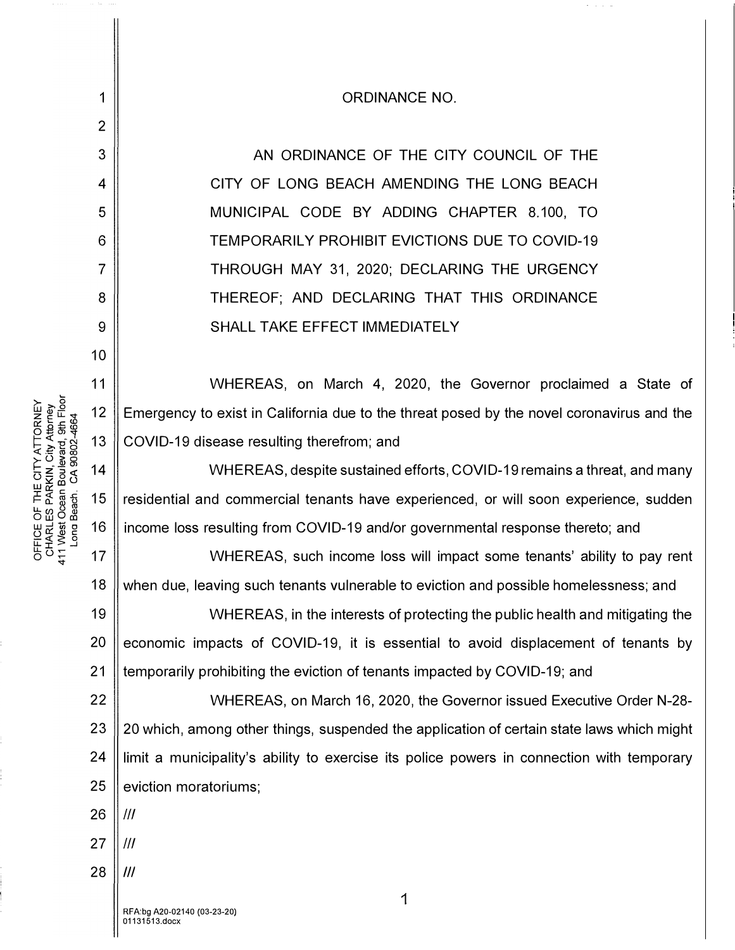|                      | 1               | <b>ORDINANCE NO.</b>                                                                      |  |  |  |
|----------------------|-----------------|-------------------------------------------------------------------------------------------|--|--|--|
|                      | $\overline{2}$  |                                                                                           |  |  |  |
|                      | 3               | AN ORDINANCE OF THE CITY COUNCIL OF THE                                                   |  |  |  |
|                      | $\overline{4}$  | CITY OF LONG BEACH AMENDING THE LONG BEACH                                                |  |  |  |
|                      | 5               | MUNICIPAL CODE BY ADDING CHAPTER 8.100, TO                                                |  |  |  |
|                      | $6\phantom{1}6$ | <b>TEMPORARILY PROHIBIT EVICTIONS DUE TO COVID-19</b>                                     |  |  |  |
|                      | $\overline{7}$  | THROUGH MAY 31, 2020; DECLARING THE URGENCY                                               |  |  |  |
|                      | 8               | THEREOF; AND DECLARING THAT THIS ORDINANCE                                                |  |  |  |
|                      | 9               | SHALL TAKE EFFECT IMMEDIATELY                                                             |  |  |  |
|                      | 10              |                                                                                           |  |  |  |
|                      | 11              | WHEREAS, on March 4, 2020, the Governor proclaimed a State of                             |  |  |  |
|                      | 12              | Emergency to exist in California due to the threat posed by the novel coronavirus and the |  |  |  |
|                      | 13              | COVID-19 disease resulting therefrom; and                                                 |  |  |  |
| <b>CA 90802-4664</b> | 14              | WHEREAS, despite sustained efforts, COVID-19 remains a threat, and many                   |  |  |  |
|                      | 15              | residential and commercial tenants have experienced, or will soon experience, sudden      |  |  |  |
| ona Beach.           | 16              | income loss resulting from COVID-19 and/or governmental response thereto; and             |  |  |  |
|                      | 17              | WHEREAS, such income loss will impact some tenants' ability to pay rent                   |  |  |  |
|                      | 18              | when due, leaving such tenants vulnerable to eviction and possible homelessness; and      |  |  |  |
|                      | 19              | WHEREAS, in the interests of protecting the public health and mitigating the              |  |  |  |
|                      | 20              | economic impacts of COVID-19, it is essential to avoid displacement of tenants by         |  |  |  |
|                      | 21              | temporarily prohibiting the eviction of tenants impacted by COVID-19; and                 |  |  |  |
|                      | 22              | WHEREAS, on March 16, 2020, the Governor issued Executive Order N-28-                     |  |  |  |
|                      | 23              | 20 which, among other things, suspended the application of certain state laws which might |  |  |  |
|                      | 24              | limit a municipality's ability to exercise its police powers in connection with temporary |  |  |  |
|                      | 25              | eviction moratoriums;                                                                     |  |  |  |
|                      | 26              | $\mathcal{H}$                                                                             |  |  |  |
|                      | 27              | $\mathcal{H}$                                                                             |  |  |  |
|                      | 28              | III                                                                                       |  |  |  |
|                      |                 | 1<br>RFA:bg A20-02140 (03-23-20)<br>01131513.docx                                         |  |  |  |

 $\sigma$  , and  $\sigma$ 

TORNEY<br><sup>Attorney</sup><br>9th Floo<br>4664 ATT<br>| <del>Z</del><br>| Z ¤ ¤ 0:<br>| Z ™<br>| ∞ 17 E CITY<br>RKIN, C<br>Boulev:<br>CA 90: 포운 <sub>명</sub><br>도운 <sub>명</sub> FFICE OF<br>CHARL ES IF<br>I West Oce<br>Long Bear

 $\rho \, \sigma \, \dot{\tilde{z}}$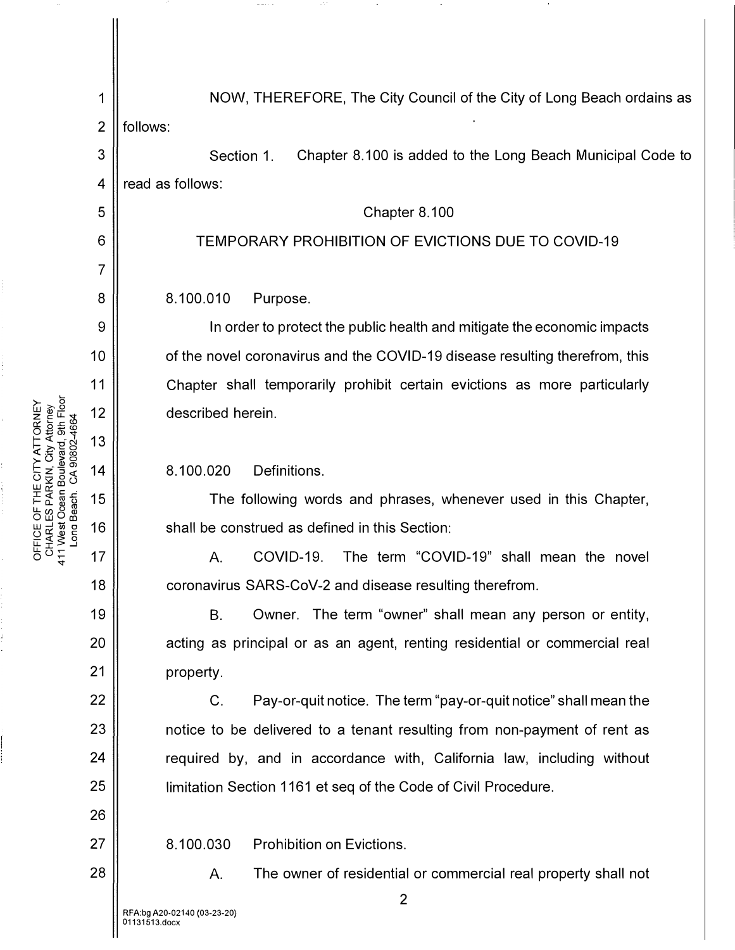L.. TTORNEY<br>y Attorney<br>rd, 9th Floc<br>02-4664 ong Beach. CA 90802-4664 <( �] � �O>o • .!!1 OJ or<br>Cris<br>Code<br>Co THE C<br>PARKI<br>PAR<br>THE C<br>S OFFICE OF 1<br>CHARLES F<br>411 West Oce<br>Long Beac 3 4 5 6 7 8 9 10 11 12 13 14 15 16 17

'<t

18

19

20

21

22

23

24

25

26

27

28

1 NOW, THEREFORE, The City Council of the City of Long Beach ordains as  $2 \parallel$  follows:

Section 1. Chapter 8.100 is added to the Long Beach Municipal Code to read as follows:

Chapter 8.100

## TEMPORARY PROHIBITION OF EVICTIONS DUE TO COVID-19

8.100.010 Purpose.

In order to protect the public health and mitigate the economic impacts of the novel coronavirus and the COVID-19 disease resulting therefrom, this Chapter shall temporarily prohibit certain evictions as more particularly described herein.

8.100.020 Definitions.

The following words and phrases, whenever used in this Chapter, shall be construed as defined in this Section:

A. COVID-19. The term "COVID-19" shall mean the novel coronavirus SARS-CoV-2 and disease resulting therefrom.

B. Owner. The term "owner" shall mean any person or entity, acting as principal or as an agent, renting residential or commercial real property.

C. Pay-or-quit notice. The term "pay-or-quit notice" shall mean the notice to be delivered to a tenant resulting from non-payment of rent as required by, and in accordance with, California law, including without limitation Section 1161 et seq of the Code of Civil Procedure.

8.100.030 Prohibition on Evictions.

A. The owner of residential or commercial real property shall not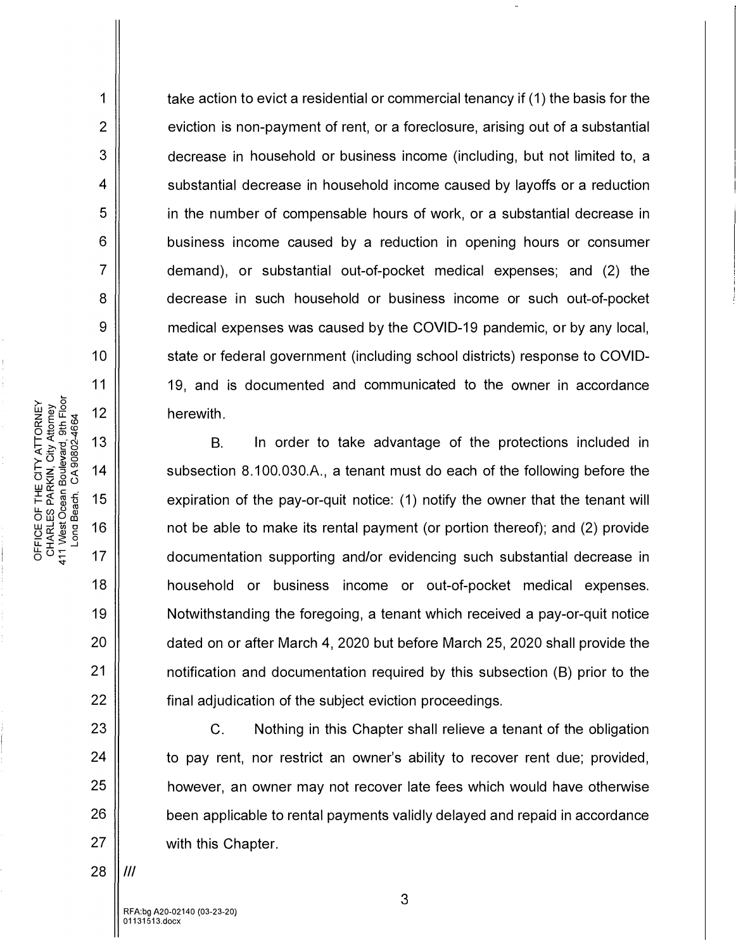take action to evict a residential or commercial tenancy if (1) the basis for the eviction is non-payment of rent, or a foreclosure, arising out of a substantial decrease in household or business income (including, but not limited to, a substantial decrease in household income caused by layoffs or a reduction in the number of compensable hours of work, or a substantial decrease in business income caused by a reduction in opening hours or consumer demand), or substantial out-of-pocket medical expenses; and (2) the decrease in such household or business income or such out-of-pocket medical expenses was caused by the COVID-19 pandemic, or by any local, state or federal government (including school districts) response to COVID-19, and is documented and communicated to the owner in accordance herewith.

B. In order to take advantage of the protections included in subsection 8.100.030.A., a tenant must do each of the following before the expiration of the pay-or-quit notice: (1) notify the owner that the tenant will not be able to make its rental payment (or portion thereof); and (2) provide documentation supporting and/or evidencing such substantial decrease in household or business income or out-of-pocket medical expenses. Notwithstanding the foregoing, a tenant which received a pay-or-quit notice dated on or after March 4, 2020 but before March 25, 2020 shall provide the notification and documentation required by this subsection (B) prior to the final adjudication of the subject eviction proceedings.

C. Nothing in this Chapter shall relieve a tenant of the obligation to pay rent, nor restrict an owner's ability to recover rent due; provided, however, an owner may not recover late fees which would have otherwise been applicable to rental payments validly delayed and repaid in accordance with this Chapter.

1

2

3

4

5

6

7

8

9

10

11

12

13

14

15

16

17

18

19

20

21

22

23

24

25

26

27

28 *Ill* 

 $\tilde{\mathbb{F}} \nabla \tilde{\mathbb{F}} \nabla \tilde{\mathbb{F}}$ to�-st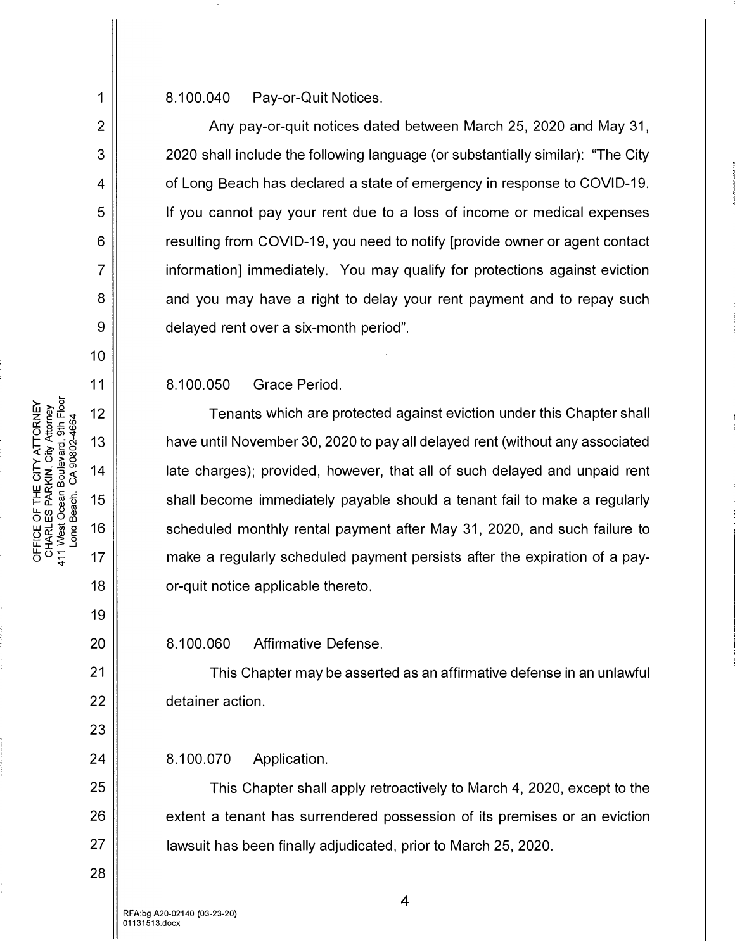8.100.040 Pay-or-Quit Notices.

Any pay-or-quit notices dated between March 25, 2020 and May 31, 2020 shall include the following language (or substantially similar): "The City of Long Beach has declared a state of emergency in response to COVID-19. If you cannot pay your rent due to a loss of income or medical expenses resulting from COVID-19, you need to notify [provide owner or agent contact information] immediately. You may qualify for protections against eviction and you may have a right to delay your rent payment and to repay such delayed rent over a six-month period".

8.100.050 Grace Period.

Tenants which are protected against eviction under this Chapter shall have until November 30, 2020 to pay all delayed rent (without any associated late charges); provided, however, that all of such delayed and unpaid rent shall become immediately payable should a tenant fail to make a regularly scheduled monthly rental payment after May 31, 2020, and such failure to make a regularly scheduled payment persists after the expiration of a payor-quit notice applicable thereto.

8.100.060 Affirmative Defense.

This Chapter may be asserted as an affirmative defense in an unlawful detainer action.

8.100.070 Application.

This Chapter shall apply retroactively to March 4, 2020, except to the extent a tenant has surrendered possession of its premises or an eviction lawsuit has been finally adjudicated, prior to March 25, 2020.

1

2

3

4

5

6

7

8

9

10

11

12

13

14

15

16

17

18

19

20

21

22

23

24

25

26

27

28

5 <u>0</u> 는

RFA:bg A20-02140 (03-23-20) 01131513.docx

4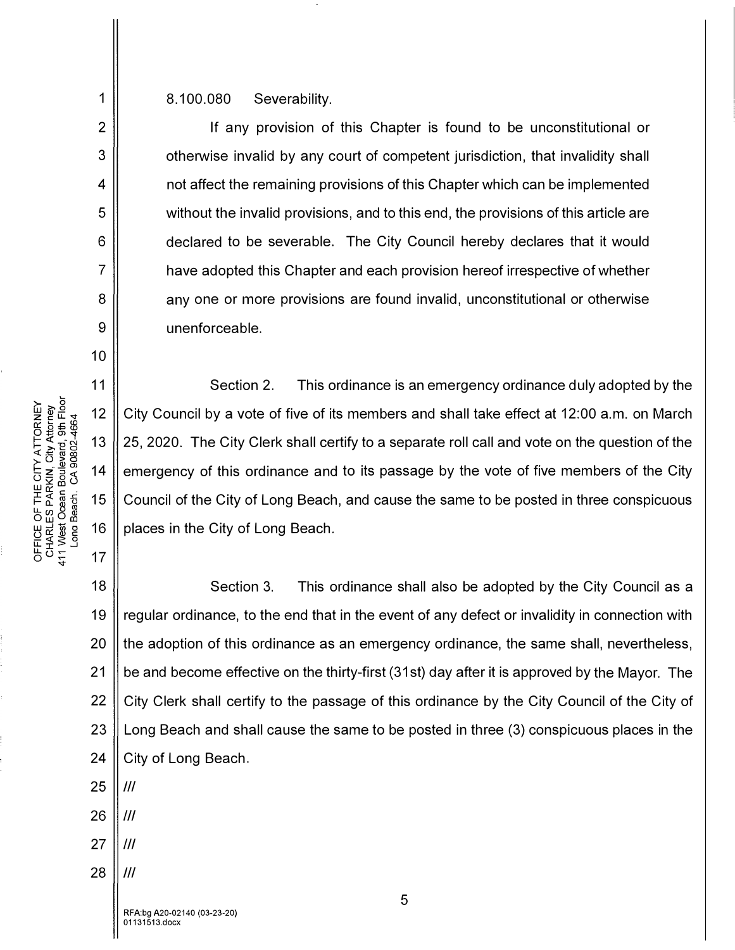8.100.080 Severability.

If any provision of this Chapter is found to be unconstitutional or otherwise invalid by any court of competent jurisdiction, that invalidity shall not affect the remaining provisions of this Chapter which can be implemented without the invalid provisions, and to this end, the provisions of this article are declared to be severable. The City Council hereby declares that it would have adopted this Chapter and each provision hereof irrespective of whether any one or more provisions are found invalid, unconstitutional or otherwise unenforceable.

Section 2. This ordinance is an emergency ordinance duly adopted by the City Council by a vote of five of its members and shall take effect at 12:00 a.m. on March 25, 2020. The City Clerk shall certify to a separate roll call and vote on the question of the emergency of this ordinance and to its passage by the vote of five members of the City Council of the City of Long Beach, and cause the same to be posted in three conspicuous places in the City of Long Beach.

18 19 20 21 22 23 24 Section 3. This ordinance shall also be adopted by the City Council as a regular ordinance, to the end that in the event of any defect or invalidity in connection with the adoption of this ordinance as an emergency ordinance, the same shall, nevertheless, be and become effective on the thirty-first (31st) day after it is approved by the Mayor. The City Clerk shall certify to the passage of this ordinance by the City Council of the City of Long Beach and shall cause the same to be posted in three (3) conspicuous places in the City of Long Beach.

25 *Ill* 

RHY<br>E 라인<br>- E 25 0:: .... .c (0 **o o**

�

0 LU  $25.58$ 

� 0) ..,. **-c.o** ATT<br>4. A 0 0 0 1<br>A 10 0 0 1 1

2

3

4

5

6

7

8

9

10

11

12

13

14

15

16

17

RKIN, CI<br>n Boulev:<br>. CA 908

FFICE OF THE<br>HARLES PAR<br>I West Ocean<br>I West Ocean

�o� '<t

- 26 */II*
- 27 */II*
- 28 *Ill*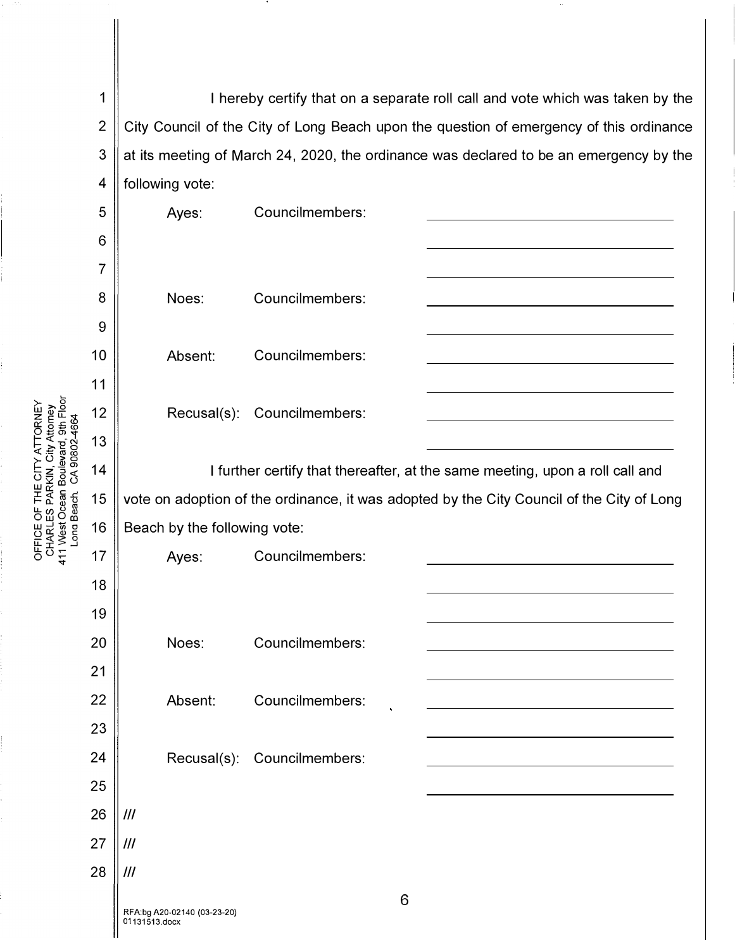1 2 3 4 I hereby certify that on a separate roll call and vote which was taken by the City Council of the City of Long Beach upon the question of emergency of this ordinance at its meeting of March 24, 2020, the ordinance was declared to be an emergency by the following vote:

| 5  | Ayes:                                                                                     | Councilmembers:             |  |
|----|-------------------------------------------------------------------------------------------|-----------------------------|--|
| 6  |                                                                                           |                             |  |
| 7  |                                                                                           |                             |  |
| 8  | Noes:                                                                                     | Councilmembers:             |  |
| 9  |                                                                                           |                             |  |
| 10 | Absent:                                                                                   | Councilmembers:             |  |
| 11 |                                                                                           |                             |  |
| 12 | Recusal(s):                                                                               | Councilmembers:             |  |
| 13 |                                                                                           |                             |  |
| 14 | I further certify that thereafter, at the same meeting, upon a roll call and              |                             |  |
| 15 | vote on adoption of the ordinance, it was adopted by the City Council of the City of Long |                             |  |
| 16 | Beach by the following vote:                                                              |                             |  |
| 17 | Ayes:                                                                                     | Councilmembers:             |  |
| 18 |                                                                                           |                             |  |
| 19 |                                                                                           |                             |  |
| 20 | Noes:                                                                                     | Councilmembers:             |  |
| 21 |                                                                                           |                             |  |
| 22 | Absent:                                                                                   | Councilmembers:             |  |
| 23 |                                                                                           |                             |  |
| 24 |                                                                                           | Recusal(s): Councilmembers: |  |
| 25 |                                                                                           |                             |  |
| 26 | III                                                                                       |                             |  |
| 27 | $\mathcal{H}$                                                                             |                             |  |
| 28 | III                                                                                       |                             |  |
|    | RFA:bg A20-02140 (03-23-20)<br>01131513.docx                                              | 6                           |  |

>- >, g � :g u::: "<I" ATTOR<br>ity Attor<br>ard, 9th<br>802-466 א 2 ב × 2<br>| ב ≝ ב × 2<br>| ב א ד ב HE CIT<br>ARKIN,<br>an Boule<br>h. CA 9 LL I- ii: Q) (1J -5(1J ()<br>() C CO CO<br>() C C CO CO U<br>() C CO U CO U CO W

u:: :f s .3  $\rho \circ \tilde{t}$